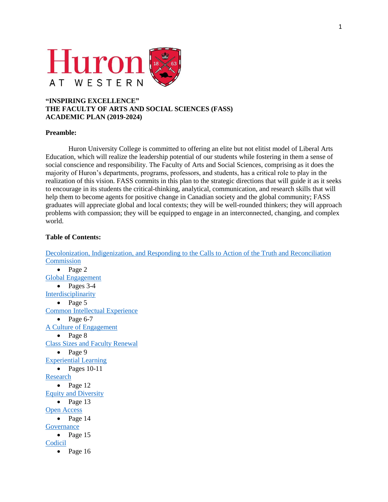

# **"INSPIRING EXCELLENCE" THE FACULTY OF ARTS AND SOCIAL SCIENCES (FASS) ACADEMIC PLAN (2019-2024)**

## **Preamble:**

Huron University College is committed to offering an elite but not elitist model of Liberal Arts Education, which will realize the leadership potential of our students while fostering in them a sense of social conscience and responsibility. The Faculty of Arts and Social Sciences, comprising as it does the majority of Huron's departments, programs, professors, and students, has a critical role to play in the realization of this vision. FASS commits in this plan to the strategic directions that will guide it as it seeks to encourage in its students the critical-thinking, analytical, communication, and research skills that will help them to become agents for positive change in Canadian society and the global community; FASS graduates will appreciate global and local contexts; they will be well-rounded thinkers; they will approach problems with compassion; they will be equipped to engage in an interconnected, changing, and complex world.

## <span id="page-0-0"></span>**Table of Contents:**

Decolonization, Indigenization, [and Responding to the Calls to Action of the Truth and Reconciliation](#page-1-0)  **[Commission](#page-1-0)**  $\bullet$  Page 2 [Global Engagement](#page-2-0) • Pages 3-4 [Interdisciplinarity](#page-4-0)  $\bullet$  Page 5 [Common Intellectual Experience](#page-5-0)  $\bullet$  Page 6-7 [A Culture of](#page-7-0) Engagement  $\bullet$  Page 8 Class Sizes [and Faculty Renewal](#page-8-0)  $\bullet$  Page 9 [Experiential Learning](#page-9-0)  $\bullet$  Pages 10-11 [Research](#page-11-0)  $\bullet$  Page 12 [Equity and Diversity](#page-12-0)  $\bullet$  Page 13 [Open Access](#page-13-0)  $\bullet$  Page 14 **[Governance](#page-14-0)**  $\bullet$  Page 15 [Codicil](#page-15-0)  $\bullet$  Page 16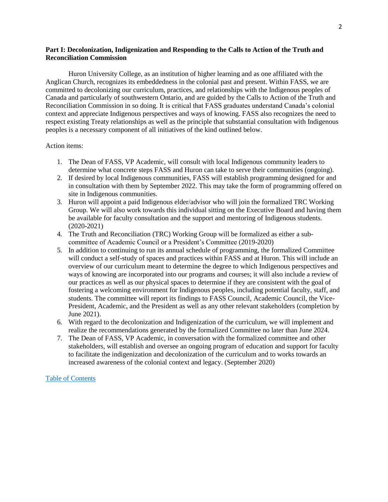## <span id="page-1-0"></span>**Part I: Decolonization, Indigenization and Responding to the Calls to Action of the Truth and Reconciliation Commission**

Huron University College, as an institution of higher learning and as one affiliated with the Anglican Church, recognizes its embeddedness in the colonial past and present. Within FASS, we are committed to decolonizing our curriculum, practices, and relationships with the Indigenous peoples of Canada and particularly of southwestern Ontario, and are guided by the Calls to Action of the Truth and Reconciliation Commission in so doing. It is critical that FASS graduates understand Canada's colonial context and appreciate Indigenous perspectives and ways of knowing. FASS also recognizes the need to respect existing Treaty relationships as well as the principle that substantial consultation with Indigenous peoples is a necessary component of all initiatives of the kind outlined below.

## Action items:

- 1. The Dean of FASS, VP Academic, will consult with local Indigenous community leaders to determine what concrete steps FASS and Huron can take to serve their communities (ongoing).
- 2. If desired by local Indigenous communities, FASS will establish programming designed for and in consultation with them by September 2022. This may take the form of programming offered on site in Indigenous communities.
- 3. Huron will appoint a paid Indigenous elder/advisor who will join the formalized TRC Working Group. We will also work towards this individual sitting on the Executive Board and having them be available for faculty consultation and the support and mentoring of Indigenous students. (2020-2021)
- 4. The Truth and Reconciliation (TRC) Working Group will be formalized as either a subcommittee of Academic Council or a President's Committee (2019-2020)
- 5. In addition to continuing to run its annual schedule of programming, the formalized Committee will conduct a self-study of spaces and practices within FASS and at Huron. This will include an overview of our curriculum meant to determine the degree to which Indigenous perspectives and ways of knowing are incorporated into our programs and courses; it will also include a review of our practices as well as our physical spaces to determine if they are consistent with the goal of fostering a welcoming environment for Indigenous peoples, including potential faculty, staff, and students. The committee will report its findings to FASS Council, Academic Council, the Vice-President, Academic, and the President as well as any other relevant stakeholders (completion by June 2021).
- 6. With regard to the decolonization and Indigenization of the curriculum, we will implement and realize the recommendations generated by the formalized Committee no later than June 2024.
- 7. The Dean of FASS, VP Academic, in conversation with the formalized committee and other stakeholders, will establish and oversee an ongoing program of education and support for faculty to facilitate the indigenization and decolonization of the curriculum and to works towards an increased awareness of the colonial context and legacy. (September 2020)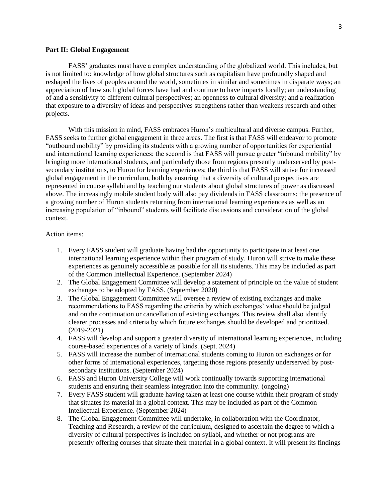#### <span id="page-2-0"></span>**Part II: Global Engagement**

FASS' graduates must have a complex understanding of the globalized world. This includes, but is not limited to: knowledge of how global structures such as capitalism have profoundly shaped and reshaped the lives of peoples around the world, sometimes in similar and sometimes in disparate ways; an appreciation of how such global forces have had and continue to have impacts locally; an understanding of and a sensitivity to different cultural perspectives; an openness to cultural diversity; and a realization that exposure to a diversity of ideas and perspectives strengthens rather than weakens research and other projects.

With this mission in mind, FASS embraces Huron's multicultural and diverse campus. Further, FASS seeks to further global engagement in three areas. The first is that FASS will endeavor to promote "outbound mobility" by providing its students with a growing number of opportunities for experiential and international learning experiences; the second is that FASS will pursue greater "inbound mobility" by bringing more international students, and particularly those from regions presently underserved by postsecondary institutions, to Huron for learning experiences; the third is that FASS will strive for increased global engagement in the curriculum, both by ensuring that a diversity of cultural perspectives are represented in course syllabi and by teaching our students about global structures of power as discussed above. The increasingly mobile student body will also pay dividends in FASS classrooms: the presence of a growing number of Huron students returning from international learning experiences as well as an increasing population of "inbound" students will facilitate discussions and consideration of the global context.

### Action items:

- 1. Every FASS student will graduate having had the opportunity to participate in at least one international learning experience within their program of study. Huron will strive to make these experiences as genuinely accessible as possible for all its students. This may be included as part of the Common Intellectual Experience. (September 2024)
- 2. The Global Engagement Committee will develop a statement of principle on the value of student exchanges to be adopted by FASS. (September 2020)
- 3. The Global Engagement Committee will oversee a review of existing exchanges and make recommendations to FASS regarding the criteria by which exchanges' value should be judged and on the continuation or cancellation of existing exchanges. This review shall also identify clearer processes and criteria by which future exchanges should be developed and prioritized. (2019-2021)
- 4. FASS will develop and support a greater diversity of international learning experiences, including course-based experiences of a variety of kinds. (Sept. 2024)
- 5. FASS will increase the number of international students coming to Huron on exchanges or for other forms of international experiences, targeting those regions presently underserved by postsecondary institutions. (September 2024)
- 6. FASS and Huron University College will work continually towards supporting international students and ensuring their seamless integration into the community. (ongoing)
- 7. Every FASS student will graduate having taken at least one course within their program of study that situates its material in a global context. This may be included as part of the Common Intellectual Experience. (September 2024)
- 8. The Global Engagement Committee will undertake, in collaboration with the Coordinator, Teaching and Research, a review of the curriculum, designed to ascertain the degree to which a diversity of cultural perspectives is included on syllabi, and whether or not programs are presently offering courses that situate their material in a global context. It will present its findings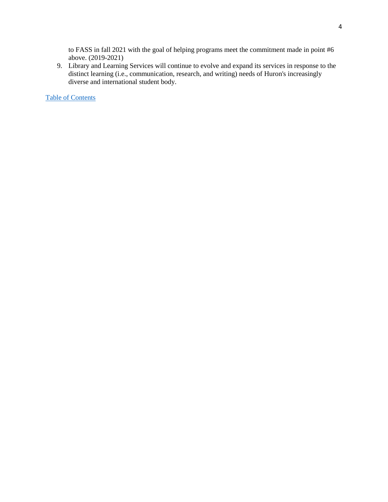to FASS in fall 2021 with the goal of helping programs meet the commitment made in point #6 above. (2019-2021)

9. Library and Learning Services will continue to evolve and expand its services in response to the distinct learning (i.e., communication, research, and writing) needs of Huron's increasingly diverse and international student body.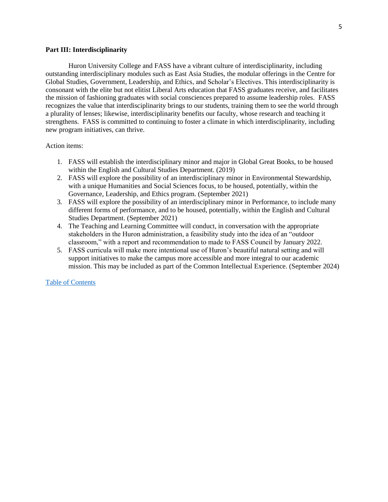### <span id="page-4-0"></span>**Part III: Interdisciplinarity**

Huron University College and FASS have a vibrant culture of interdisciplinarity, including outstanding interdisciplinary modules such as East Asia Studies, the modular offerings in the Centre for Global Studies, Government, Leadership, and Ethics, and Scholar's Electives. This interdisciplinarity is consonant with the elite but not elitist Liberal Arts education that FASS graduates receive, and facilitates the mission of fashioning graduates with social consciences prepared to assume leadership roles. FASS recognizes the value that interdisciplinarity brings to our students, training them to see the world through a plurality of lenses; likewise, interdisciplinarity benefits our faculty, whose research and teaching it strengthens. FASS is committed to continuing to foster a climate in which interdisciplinarity, including new program initiatives, can thrive.

Action items:

- 1. FASS will establish the interdisciplinary minor and major in Global Great Books, to be housed within the English and Cultural Studies Department. (2019)
- 2. FASS will explore the possibility of an interdisciplinary minor in Environmental Stewardship, with a unique Humanities and Social Sciences focus, to be housed, potentially, within the Governance, Leadership, and Ethics program. (September 2021)
- 3. FASS will explore the possibility of an interdisciplinary minor in Performance, to include many different forms of performance, and to be housed, potentially, within the English and Cultural Studies Department. (September 2021)
- 4. The Teaching and Learning Committee will conduct, in conversation with the appropriate stakeholders in the Huron administration, a feasibility study into the idea of an "outdoor classroom," with a report and recommendation to made to FASS Council by January 2022.
- 5. FASS curricula will make more intentional use of Huron's beautiful natural setting and will support initiatives to make the campus more accessible and more integral to our academic mission. This may be included as part of the Common Intellectual Experience. (September 2024)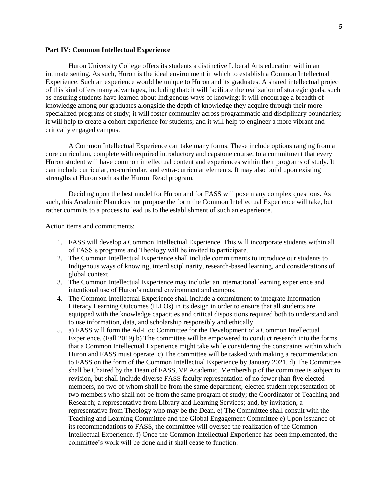### <span id="page-5-0"></span>**Part IV: Common Intellectual Experience**

Huron University College offers its students a distinctive Liberal Arts education within an intimate setting. As such, Huron is the ideal environment in which to establish a Common Intellectual Experience. Such an experience would be unique to Huron and its graduates. A shared intellectual project of this kind offers many advantages, including that: it will facilitate the realization of strategic goals, such as ensuring students have learned about Indigenous ways of knowing; it will encourage a breadth of knowledge among our graduates alongside the depth of knowledge they acquire through their more specialized programs of study; it will foster community across programmatic and disciplinary boundaries; it will help to create a cohort experience for students; and it will help to engineer a more vibrant and critically engaged campus.

A Common Intellectual Experience can take many forms. These include options ranging from a core curriculum, complete with required introductory and capstone course, to a commitment that every Huron student will have common intellectual content and experiences within their programs of study. It can include curricular, co-curricular, and extra-curricular elements. It may also build upon existing strengths at Huron such as the Huron1Read program.

Deciding upon the best model for Huron and for FASS will pose many complex questions. As such, this Academic Plan does not propose the form the Common Intellectual Experience will take, but rather commits to a process to lead us to the establishment of such an experience.

Action items and commitments:

- 1. FASS will develop a Common Intellectual Experience. This will incorporate students within all of FASS's programs and Theology will be invited to participate.
- 2. The Common Intellectual Experience shall include commitments to introduce our students to Indigenous ways of knowing, interdisciplinarity, research-based learning, and considerations of global context.
- 3. The Common Intellectual Experience may include: an international learning experience and intentional use of Huron's natural environment and campus.
- 4. The Common Intellectual Experience shall include a commitment to integrate Information Literacy Learning Outcomes (ILLOs) in its design in order to ensure that all students are equipped with the knowledge capacities and critical dispositions required both to understand and to use information, data, and scholarship responsibly and ethically.
- 5. a) FASS will form the Ad-Hoc Committee for the Development of a Common Intellectual Experience. (Fall 2019) b) The committee will be empowered to conduct research into the forms that a Common Intellectual Experience might take while considering the constraints within which Huron and FASS must operate. c) The committee will be tasked with making a recommendation to FASS on the form of the Common Intellectual Experience by January 2021. d) The Committee shall be Chaired by the Dean of FASS, VP Academic. Membership of the committee is subject to revision, but shall include diverse FASS faculty representation of no fewer than five elected members, no two of whom shall be from the same department; elected student representation of two members who shall not be from the same program of study; the Coordinator of Teaching and Research; a representative from Library and Learning Services; and, by invitation, a representative from Theology who may be the Dean. e) The Committee shall consult with the Teaching and Learning Committee and the Global Engagement Committee e) Upon issuance of its recommendations to FASS, the committee will oversee the realization of the Common Intellectual Experience. f) Once the Common Intellectual Experience has been implemented, the committee's work will be done and it shall cease to function.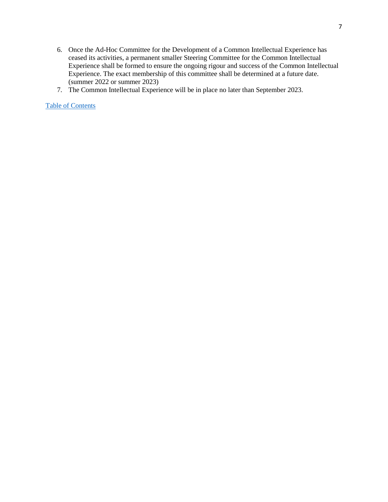- 6. Once the Ad-Hoc Committee for the Development of a Common Intellectual Experience has ceased its activities, a permanent smaller Steering Committee for the Common Intellectual Experience shall be formed to ensure the ongoing rigour and success of the Common Intellectual Experience. The exact membership of this committee shall be determined at a future date. (summer 2022 or summer 2023)
- 7. The Common Intellectual Experience will be in place no later than September 2023.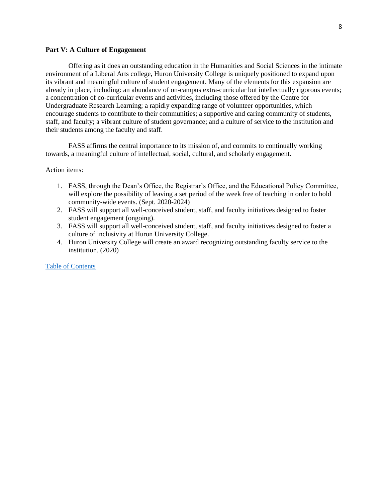### <span id="page-7-0"></span>**Part V: A Culture of Engagement**

Offering as it does an outstanding education in the Humanities and Social Sciences in the intimate environment of a Liberal Arts college, Huron University College is uniquely positioned to expand upon its vibrant and meaningful culture of student engagement. Many of the elements for this expansion are already in place, including: an abundance of on-campus extra-curricular but intellectually rigorous events; a concentration of co-curricular events and activities, including those offered by the Centre for Undergraduate Research Learning; a rapidly expanding range of volunteer opportunities, which encourage students to contribute to their communities; a supportive and caring community of students, staff, and faculty; a vibrant culture of student governance; and a culture of service to the institution and their students among the faculty and staff.

FASS affirms the central importance to its mission of, and commits to continually working towards, a meaningful culture of intellectual, social, cultural, and scholarly engagement.

#### Action items:

- 1. FASS, through the Dean's Office, the Registrar's Office, and the Educational Policy Committee, will explore the possibility of leaving a set period of the week free of teaching in order to hold community-wide events. (Sept. 2020-2024)
- 2. FASS will support all well-conceived student, staff, and faculty initiatives designed to foster student engagement (ongoing).
- 3. FASS will support all well-conceived student, staff, and faculty initiatives designed to foster a culture of inclusivity at Huron University College.
- 4. Huron University College will create an award recognizing outstanding faculty service to the institution. (2020)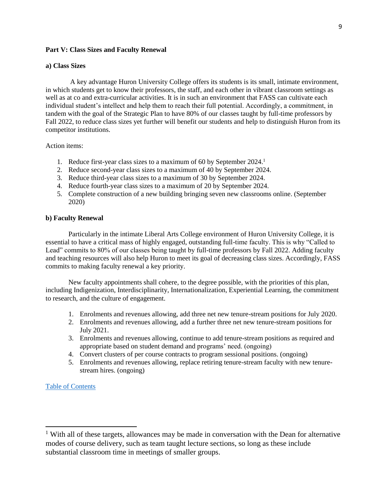### <span id="page-8-0"></span>**Part V: Class Sizes and Faculty Renewal**

#### **a) Class Sizes**

A key advantage Huron University College offers its students is its small, intimate environment, in which students get to know their professors, the staff, and each other in vibrant classroom settings as well as at co and extra-curricular activities. It is in such an environment that FASS can cultivate each individual student's intellect and help them to reach their full potential. Accordingly, a commitment, in tandem with the goal of the Strategic Plan to have 80% of our classes taught by full-time professors by Fall 2022, to reduce class sizes yet further will benefit our students and help to distinguish Huron from its competitor institutions.

Action items:

- 1. Reduce first-year class sizes to a maximum of 60 by September 2024. 1
- 2. Reduce second-year class sizes to a maximum of 40 by September 2024.
- 3. Reduce third-year class sizes to a maximum of 30 by September 2024.
- 4. Reduce fourth-year class sizes to a maximum of 20 by September 2024.
- 5. Complete construction of a new building bringing seven new classrooms online. (September 2020)

### **b) Faculty Renewal**

Particularly in the intimate Liberal Arts College environment of Huron University College, it is essential to have a critical mass of highly engaged, outstanding full-time faculty. This is why "Called to Lead" commits to 80% of our classes being taught by full-time professors by Fall 2022. Adding faculty and teaching resources will also help Huron to meet its goal of decreasing class sizes. Accordingly, FASS commits to making faculty renewal a key priority.

New faculty appointments shall cohere, to the degree possible, with the priorities of this plan, including Indigenization, Interdisciplinarity, Internationalization, Experiential Learning, the commitment to research, and the culture of engagement.

- 1. Enrolments and revenues allowing, add three net new tenure-stream positions for July 2020.
- 2. Enrolments and revenues allowing, add a further three net new tenure-stream positions for July 2021.
- 3. Enrolments and revenues allowing, continue to add tenure-stream positions as required and appropriate based on student demand and programs' need. (ongoing)
- 4. Convert clusters of per course contracts to program sessional positions. (ongoing)
- 5. Enrolments and revenues allowing, replace retiring tenure-stream faculty with new tenurestream hires. (ongoing)

### [Table of Contents](#page-0-0)

 $\overline{\phantom{a}}$ 

 $1$  With all of these targets, allowances may be made in conversation with the Dean for alternative modes of course delivery, such as team taught lecture sections, so long as these include substantial classroom time in meetings of smaller groups.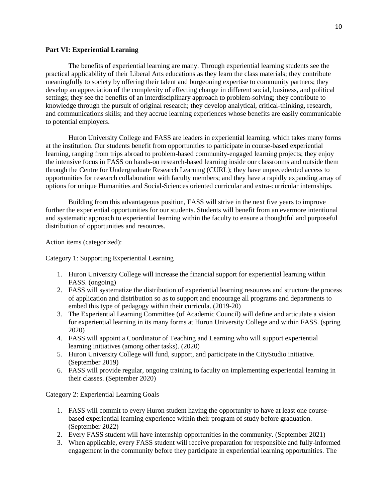### <span id="page-9-0"></span>**Part VI: Experiential Learning**

The benefits of experiential learning are many. Through experiential learning students see the practical applicability of their Liberal Arts educations as they learn the class materials; they contribute meaningfully to society by offering their talent and burgeoning expertise to community partners; they develop an appreciation of the complexity of effecting change in different social, business, and political settings; they see the benefits of an interdisciplinary approach to problem-solving; they contribute to knowledge through the pursuit of original research; they develop analytical, critical-thinking, research, and communications skills; and they accrue learning experiences whose benefits are easily communicable to potential employers.

Huron University College and FASS are leaders in experiential learning, which takes many forms at the institution. Our students benefit from opportunities to participate in course-based experiential learning, ranging from trips abroad to problem-based community-engaged learning projects; they enjoy the intensive focus in FASS on hands-on research-based learning inside our classrooms and outside them through the Centre for Undergraduate Research Learning (CURL); they have unprecedented access to opportunities for research collaboration with faculty members; and they have a rapidly expanding array of options for unique Humanities and Social-Sciences oriented curricular and extra-curricular internships.

Building from this advantageous position, FASS will strive in the next five years to improve further the experiential opportunities for our students. Students will benefit from an evermore intentional and systematic approach to experiential learning within the faculty to ensure a thoughtful and purposeful distribution of opportunities and resources.

Action items (categorized):

Category 1: Supporting Experiential Learning

- 1. Huron University College will increase the financial support for experiential learning within FASS. (ongoing)
- 2. FASS will systematize the distribution of experiential learning resources and structure the process of application and distribution so as to support and encourage all programs and departments to embed this type of pedagogy within their curricula. (2019-20)
- 3. The Experiential Learning Committee (of Academic Council) will define and articulate a vision for experiential learning in its many forms at Huron University College and within FASS. (spring 2020)
- 4. FASS will appoint a Coordinator of Teaching and Learning who will support experiential learning initiatives (among other tasks). (2020)
- 5. Huron University College will fund, support, and participate in the CityStudio initiative. (September 2019)
- 6. FASS will provide regular, ongoing training to faculty on implementing experiential learning in their classes. (September 2020)

Category 2: Experiential Learning Goals

- 1. FASS will commit to every Huron student having the opportunity to have at least one coursebased experiential learning experience within their program of study before graduation. (September 2022)
- 2. Every FASS student will have internship opportunities in the community. (September 2021)
- 3. When applicable, every FASS student will receive preparation for responsible and fully-informed engagement in the community before they participate in experiential learning opportunities. The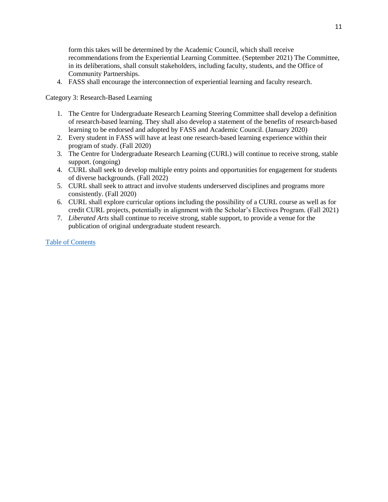form this takes will be determined by the Academic Council, which shall receive recommendations from the Experiential Learning Committee. (September 2021) The Committee, in its deliberations, shall consult stakeholders, including faculty, students, and the Office of Community Partnerships.

4. FASS shall encourage the interconnection of experiential learning and faculty research.

Category 3: Research-Based Learning

- 1. The Centre for Undergraduate Research Learning Steering Committee shall develop a definition of research-based learning. They shall also develop a statement of the benefits of research-based learning to be endorsed and adopted by FASS and Academic Council. (January 2020)
- 2. Every student in FASS will have at least one research-based learning experience within their program of study. (Fall 2020)
- 3. The Centre for Undergraduate Research Learning (CURL) will continue to receive strong, stable support. (ongoing)
- 4. CURL shall seek to develop multiple entry points and opportunities for engagement for students of diverse backgrounds. (Fall 2022)
- 5. CURL shall seek to attract and involve students underserved disciplines and programs more consistently. (Fall 2020)
- 6. CURL shall explore curricular options including the possibility of a CURL course as well as for credit CURL projects, potentially in alignment with the Scholar's Electives Program. (Fall 2021)
- 7. *Liberated Arts* shall continue to receive strong, stable support, to provide a venue for the publication of original undergraduate student research.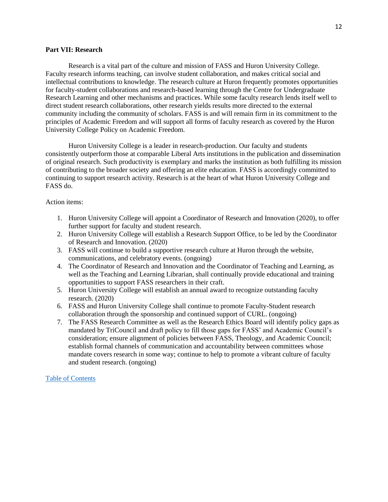#### <span id="page-11-0"></span>**Part VII: Research**

Research is a vital part of the culture and mission of FASS and Huron University College. Faculty research informs teaching, can involve student collaboration, and makes critical social and intellectual contributions to knowledge. The research culture at Huron frequently promotes opportunities for faculty-student collaborations and research-based learning through the Centre for Undergraduate Research Learning and other mechanisms and practices. While some faculty research lends itself well to direct student research collaborations, other research yields results more directed to the external community including the community of scholars. FASS is and will remain firm in its commitment to the principles of Academic Freedom and will support all forms of faculty research as covered by the Huron University College Policy on Academic Freedom.

Huron University College is a leader in research-production. Our faculty and students consistently outperform those at comparable Liberal Arts institutions in the publication and dissemination of original research. Such productivity is exemplary and marks the institution as both fulfilling its mission of contributing to the broader society and offering an elite education. FASS is accordingly committed to continuing to support research activity. Research is at the heart of what Huron University College and FASS do.

## Action items:

- 1. Huron University College will appoint a Coordinator of Research and Innovation (2020), to offer further support for faculty and student research.
- 2. Huron University College will establish a Research Support Office, to be led by the Coordinator of Research and Innovation. (2020)
- 3. FASS will continue to build a supportive research culture at Huron through the website, communications, and celebratory events. (ongoing)
- 4. The Coordinator of Research and Innovation and the Coordinator of Teaching and Learning, as well as the Teaching and Learning Librarian, shall continually provide educational and training opportunities to support FASS researchers in their craft.
- 5. Huron University College will establish an annual award to recognize outstanding faculty research. (2020)
- 6. FASS and Huron University College shall continue to promote Faculty-Student research collaboration through the sponsorship and continued support of CURL. (ongoing)
- 7. The FASS Research Committee as well as the Research Ethics Board will identify policy gaps as mandated by TriCouncil and draft policy to fill those gaps for FASS' and Academic Council's consideration; ensure alignment of policies between FASS, Theology, and Academic Council; establish formal channels of communication and accountability between committees whose mandate covers research in some way; continue to help to promote a vibrant culture of faculty and student research. (ongoing)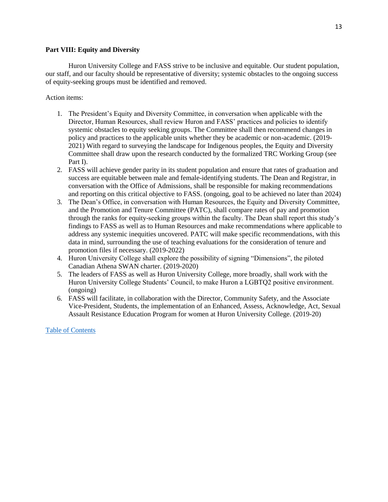## <span id="page-12-0"></span>**Part VIII: Equity and Diversity**

Huron University College and FASS strive to be inclusive and equitable. Our student population, our staff, and our faculty should be representative of diversity; systemic obstacles to the ongoing success of equity-seeking groups must be identified and removed.

Action items:

- 1. The President's Equity and Diversity Committee, in conversation when applicable with the Director, Human Resources, shall review Huron and FASS' practices and policies to identify systemic obstacles to equity seeking groups. The Committee shall then recommend changes in policy and practices to the applicable units whether they be academic or non-academic. (2019- 2021) With regard to surveying the landscape for Indigenous peoples, the Equity and Diversity Committee shall draw upon the research conducted by the formalized TRC Working Group (see Part I).
- 2. FASS will achieve gender parity in its student population and ensure that rates of graduation and success are equitable between male and female-identifying students. The Dean and Registrar, in conversation with the Office of Admissions, shall be responsible for making recommendations and reporting on this critical objective to FASS. (ongoing, goal to be achieved no later than 2024)
- 3. The Dean's Office, in conversation with Human Resources, the Equity and Diversity Committee, and the Promotion and Tenure Committee (PATC), shall compare rates of pay and promotion through the ranks for equity-seeking groups within the faculty. The Dean shall report this study's findings to FASS as well as to Human Resources and make recommendations where applicable to address any systemic inequities uncovered. PATC will make specific recommendations, with this data in mind, surrounding the use of teaching evaluations for the consideration of tenure and promotion files if necessary. (2019-2022)
- 4. Huron University College shall explore the possibility of signing "Dimensions", the piloted Canadian Athena SWAN charter. (2019-2020)
- 5. The leaders of FASS as well as Huron University College, more broadly, shall work with the Huron University College Students' Council, to make Huron a LGBTQ2 positive environment. (ongoing)
- 6. FASS will facilitate, in collaboration with the Director, Community Safety, and the Associate Vice-President, Students, the implementation of an Enhanced, Assess, Acknowledge, Act, Sexual Assault Resistance Education Program for women at Huron University College. (2019-20)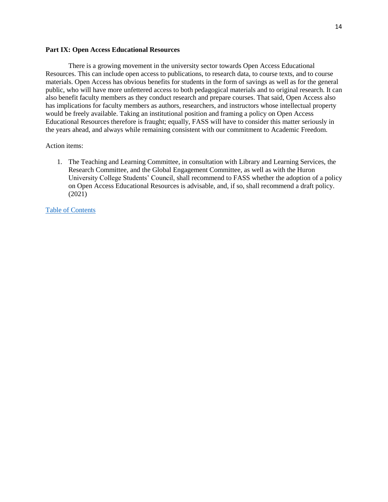### <span id="page-13-0"></span>**Part IX: Open Access Educational Resources**

There is a growing movement in the university sector towards Open Access Educational Resources. This can include open access to publications, to research data, to course texts, and to course materials. Open Access has obvious benefits for students in the form of savings as well as for the general public, who will have more unfettered access to both pedagogical materials and to original research. It can also benefit faculty members as they conduct research and prepare courses. That said, Open Access also has implications for faculty members as authors, researchers, and instructors whose intellectual property would be freely available. Taking an institutional position and framing a policy on Open Access Educational Resources therefore is fraught; equally, FASS will have to consider this matter seriously in the years ahead, and always while remaining consistent with our commitment to Academic Freedom.

## Action items:

1. The Teaching and Learning Committee, in consultation with Library and Learning Services, the Research Committee, and the Global Engagement Committee, as well as with the Huron University College Students' Council, shall recommend to FASS whether the adoption of a policy on Open Access Educational Resources is advisable, and, if so, shall recommend a draft policy. (2021)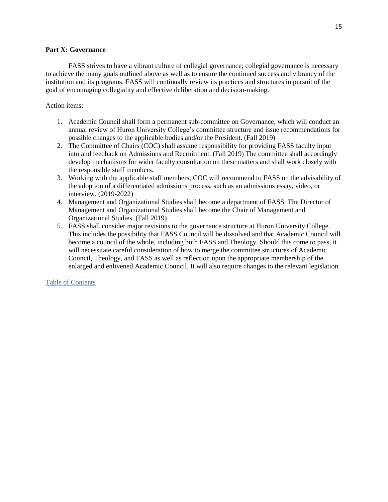## <span id="page-14-0"></span>**Part X: Governance**

FASS strives to have a vibrant culture of collegial governance; collegial governance is necessary to achieve the many goals outlined above as well as to ensure the continued success and vibrancy of the institution and its programs. FASS will continually review its practices and structures in pursuit of the goal of encouraging collegiality and effective deliberation and decision-making.

# Action items:

- 1. Academic Council shall form a permanent sub-committee on Governance, which will conduct an annual review of Huron University College's committee structure and issue recommendations for possible changes to the applicable bodies and/or the President. (Fall 2019)
- 2. The Committee of Chairs (COC) shall assume responsibility for providing FASS faculty input into and feedback on Admissions and Recruitment. (Fall 2019) The committee shall accordingly develop mechanisms for wider faculty consultation on these matters and shall work closely with the responsible staff members.
- 3. Working with the applicable staff members, COC will recommend to FASS on the advisability of the adoption of a differentiated admissions process, such as an admissions essay, video, or interview. (2019-2022)
- 4. Management and Organizational Studies shall become a department of FASS. The Director of Management and Organizational Studies shall become the Chair of Management and Organizational Studies. (Fall 2019)
- 5. FASS shall consider major revisions to the governance structure at Huron University College. This includes the possibility that FASS Council will be dissolved and that Academic Council will become a council of the whole, including both FASS and Theology. Should this come to pass, it will necessitate careful consideration of how to merge the committee structures of Academic Council, Theology, and FASS as well as reflection upon the appropriate membership of the enlarged and enlivened Academic Council. It will also require changes to the relevant legislation.